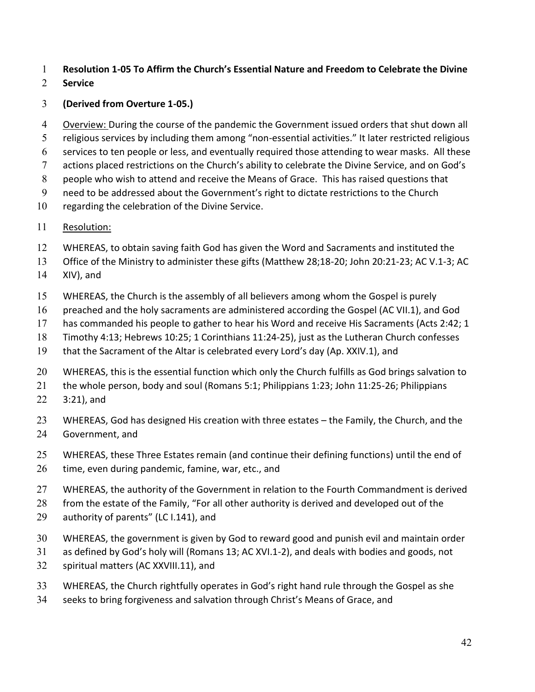## 1 **Resolution 1-05 To Affirm the Church's Essential Nature and Freedom to Celebrate the Divine**

## 2 **Service**

## 3 **(Derived from Overture 1-05.)**

4 Overview: During the course of the pandemic the Government issued orders that shut down all 5 religious services by including them among "non-essential activities." It later restricted religious

- 6 services to ten people or less, and eventually required those attending to wear masks. All these
- 7 actions placed restrictions on the Church's ability to celebrate the Divine Service, and on God's
- 8 people who wish to attend and receive the Means of Grace. This has raised questions that
- 9 need to be addressed about the Government's right to dictate restrictions to the Church
- 10 regarding the celebration of the Divine Service.

## 11 Resolution:

- 12 WHEREAS, to obtain saving faith God has given the Word and Sacraments and instituted the
- 13 Office of the Ministry to administer these gifts (Matthew 28;18-20; John 20:21-23; AC V.1-3; AC
- 14 XIV), and
- 15 WHEREAS, the Church is the assembly of all believers among whom the Gospel is purely
- 16 preached and the holy sacraments are administered according the Gospel (AC VII.1), and God
- 17 has commanded his people to gather to hear his Word and receive His Sacraments (Acts 2:42; 1
- 18 Timothy 4:13; Hebrews 10:25; 1 Corinthians 11:24-25), just as the Lutheran Church confesses
- 19 that the Sacrament of the Altar is celebrated every Lord's day (Ap. XXIV.1), and
- 20 WHEREAS, this is the essential function which only the Church fulfills as God brings salvation to
- 21 the whole person, body and soul (Romans 5:1; Philippians 1:23; John 11:25-26; Philippians
- 22 3:21), and
- 23 WHEREAS, God has designed His creation with three estates the Family, the Church, and the 24 Government, and
- 25 WHEREAS, these Three Estates remain (and continue their defining functions) until the end of
- 26 time, even during pandemic, famine, war, etc., and
- 27 WHEREAS, the authority of the Government in relation to the Fourth Commandment is derived
- 28 from the estate of the Family, "For all other authority is derived and developed out of the
- 29 authority of parents" (LC I.141), and
- 30 WHEREAS, the government is given by God to reward good and punish evil and maintain order
- 31 as defined by God's holy will (Romans 13; AC XVI.1-2), and deals with bodies and goods, not
- 32 spiritual matters (AC XXVIII.11), and
- 33 WHEREAS, the Church rightfully operates in God's right hand rule through the Gospel as she
- 34 seeks to bring forgiveness and salvation through Christ's Means of Grace, and